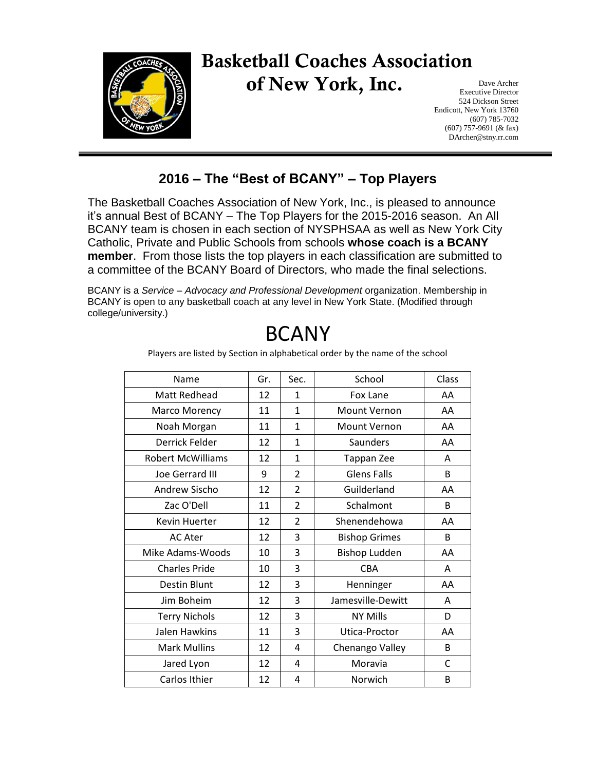

## Basketball Coaches Association of New York, Inc.

Dave Archer Executive Director 524 Dickson Street Endicott, New York 13760 (607) 785-7032 (607) 757-9691 (& fax) DArcher@stny.rr.com

## **2016 – The "Best of BCANY" – Top Players**

The Basketball Coaches Association of New York, Inc., is pleased to announce it's annual Best of BCANY – The Top Players for the 2015-2016 season. An All BCANY team is chosen in each section of NYSPHSAA as well as New York City Catholic, Private and Public Schools from schools **whose coach is a BCANY member**. From those lists the top players in each classification are submitted to a committee of the BCANY Board of Directors, who made the final selections.

BCANY is a *Service – Advocacy and Professional Development* organization. Membership in BCANY is open to any basketball coach at any level in New York State. (Modified through college/university.)

| Name                     | Gr. | Sec.                     | School               | Class |
|--------------------------|-----|--------------------------|----------------------|-------|
| <b>Matt Redhead</b>      | 12  | $\mathbf{1}$             | Fox Lane             | AA    |
| Marco Morency            | 11  | $\mathbf{1}$             | Mount Vernon         | AA    |
| Noah Morgan              | 11  | $\mathbf{1}$             | <b>Mount Vernon</b>  | AA    |
| Derrick Felder           | 12  | $\mathbf{1}$             | Saunders             | AA    |
| <b>Robert McWilliams</b> | 12  | $\mathbf{1}$             | Tappan Zee           | A     |
| <b>Joe Gerrard III</b>   | 9   | $\overline{\mathcal{L}}$ | <b>Glens Falls</b>   | B     |
| Andrew Sischo            | 12  | $\overline{2}$           | Guilderland          | AA    |
| Zac O'Dell               | 11  | $\overline{2}$           | Schalmont            | B.    |
| Kevin Huerter            | 12  | $\overline{\mathcal{L}}$ | Shenendehowa         | AA    |
| <b>AC Ater</b>           | 12  | 3                        | <b>Bishop Grimes</b> | B     |
| Mike Adams-Woods         | 10  | 3                        | <b>Bishop Ludden</b> | AA    |
| <b>Charles Pride</b>     | 10  | 3                        | <b>CBA</b>           | A     |
| <b>Destin Blunt</b>      | 12  | 3                        | Henninger            | AA    |
| Jim Boheim               | 12  | 3                        | Jamesville-Dewitt    | A     |
| <b>Terry Nichols</b>     | 12  | 3                        | <b>NY Mills</b>      | D     |
| Jalen Hawkins            | 11  | 3                        | Utica-Proctor        | AA    |
| <b>Mark Mullins</b>      | 12  | 4                        | Chenango Valley      | B     |
| Jared Lyon               | 12  | 4                        | Moravia              | C     |
| Carlos Ithier            | 12  | 4                        | Norwich              | B     |

## BCANY

Players are listed by Section in alphabetical order by the name of the school